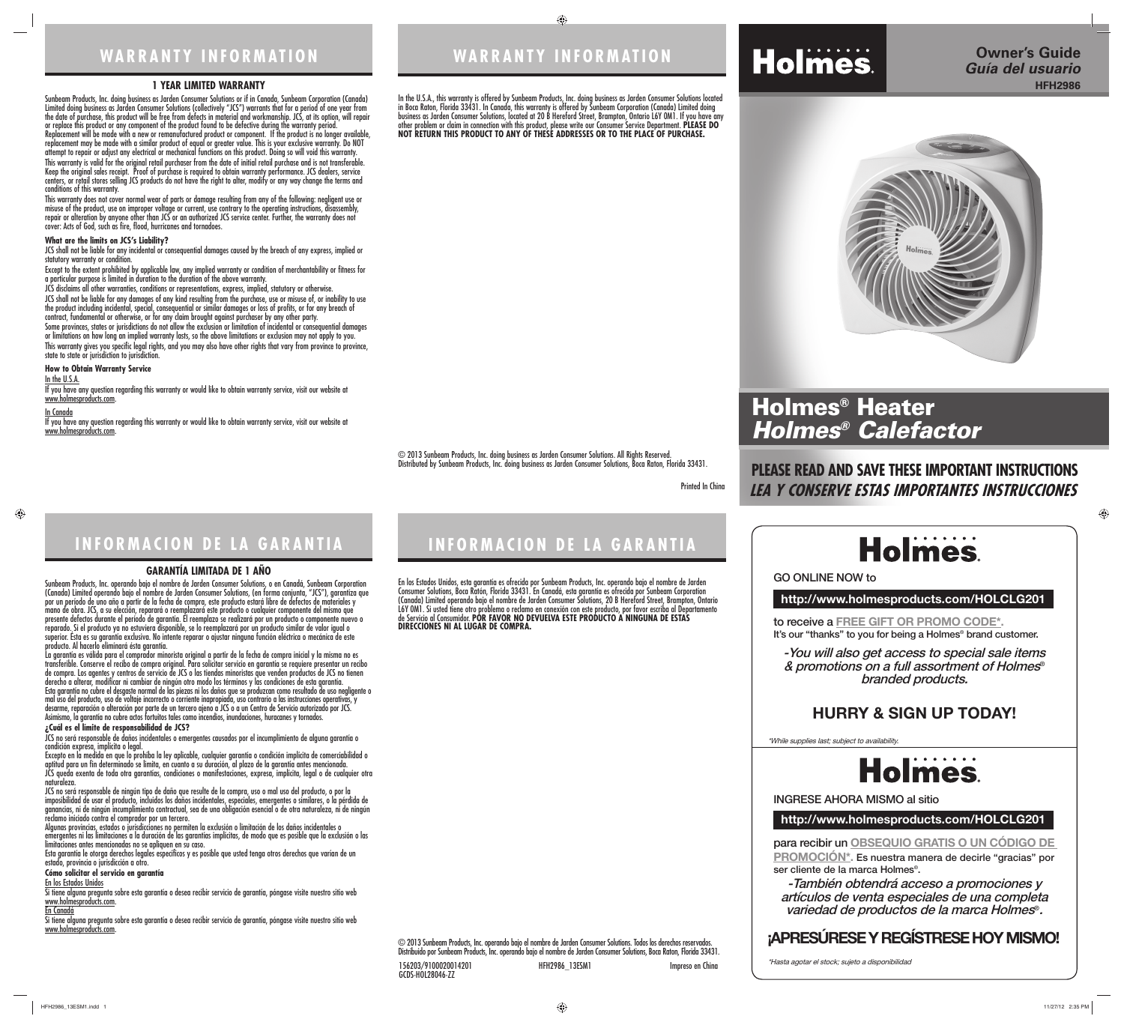# **WARRANTY INFORMATION**

⊕

Printed In China



# **INFORMACION DE LA GARANTIA**

### **1 YEAR LIMITED WARRANTY**

Sunbeam Products, Inc. doing business as Jarden Consumer Solutions or if in Canada, Sunbeam Corporation (Canada) Limited doing business as Jarden Consumer Solutions (collectively "JCS") warrants that for a period of one year from the date of purchase, this product will be free from defects in material and workmanship. JCS, at its option, will repair or replace this product or any component of the product found to be defective during the warranty period. Replacement will be made with a new or remanufactured product or component. If the product is no longer available, replacement may be made with a similar product of equal or greater value. This is your exclusive warranty. Do NOT attempt to repair or adjust any electrical or mechanical functions on this product. Doing so will void this warranty. This warranty is valid for the original retail purchaser from the date of initial retail purchase and is not transferable. Keep the original sales receipt. Proof of purchase is required to obtain warranty performance. JCS dealers, service centers, or retail stores selling JCS products do not have the right to alter, modify or any way change the terms and conditions of this warranty.

JCS shall not be liable for any incidental or consequential damages caused by the breach of any express, implied or statutory warranty or condition.

If you have any question regarding this warranty or would like to obtain warranty service, visit our website at www.holmesproducts.com.

If you have any question regarding this warranty or would like to obtain warranty service, visit our website at www.holmesproducts.com

This warranty does not cover normal wear of parts or damage resulting from any of the following: negligent use or misuse of the product, use on improper voltage or current, use contrary to the operating instructions, disassembly, repair or alteration by anyone other than JCS or an authorized JCS service center. Further, the warranty does not cover: Acts of God, such as fire, flood, hurricanes and tornadoes.

### **What are the limits on JCS's Liability?**

Except to the extent prohibited by applicable law, any implied warranty or condition of merchantability or fitness for a particular purpose is limited in duration to the duration of the above warranty.

JCS disclaims all other warranties, conditions or representations, express, implied, statutory or otherwise.

JCS shall not be liable for any damages of any kind resulting from the purchase, use or misuse of, or inability to use the product including incidental, special, consequential or similar damages or loss of profits, or for any breach of contract, fundamental or otherwise, or for any claim brought against purchaser by any other party.

Some provinces, states or jurisdictions do not allow the exclusion or limitation of incidental or consequential damages or limitations on how long an implied warranty lasts, so the above limitations or exclusion may not apply to you. This warranty gives you specific legal rights, and you may also have other rights that vary from province to province, state to state or jurisdiction to jurisdiction.

### **How to Obtain Warranty Service**

imposibilidad de usar el producto, incluidos los daños incidentales, especiales, emergentes o ganancias, ni de ningún incumplimiento contractual, sea de una obligación esencial o de otra naturaleza, ni de ningún reclamo iniciado contra el comprador por un tercero. Algunas provincias, estados o jurisdicciones no permiten la exclusión o limitación de los daños incidentales o

In the U.S.A.

#### In Canada

Si tiene alguna pregunta sobre esta garantía o desea recibir servicio de garantía, póngase visite nuestro sitio web www.holmesproducts.com.

#### **GARANTÍA LIMITADA DE 1 AÑO**

Sunbeam Products, Inc. operando bajo el nombre de Jarden Consumer Solutions, o en Canadá, Sunbeam Corporation (Canada) Limited operando bajo el nombre de Jarden Consumer Solutions, (en forma conjunta, "JCS"), garantiza que por un período de uno año a partir de la fecha de compra, este producto estará libre de defectos de materiales y mano de obra. JCS, a su elección, reparará o reemplazará este producto o cualquier componente del mismo que presente defectos durante el período de garantía. El reemplazo se realizará por un producto o componente nuevo o reparado. Si el producto ya no estuviera disponible, se lo reemplazará por un producto similar de valor igual o superior. Ésta es su garantía exclusiva. No intente reparar o ajustar ninguna función eléctrica o mecánica de este producto. Al hacerlo elimínará ésta garantía.

La garantía es válida para el comprador minorista original a partir de la fecha de compra inicial y la misma no es transferible. Conserve el recibo de compra original. Para solicitar servicio en garantía se requiere presentar un recibo de compra. Los agentes y centros de servicio de JCS o las tiendas minoristas que venden productos de JCS no tienen derecho a alterar, modificar ni cambiar de ningún otro modo los términos y las condiciones de esta garantía. Esta garantía no cubre el desgaste normal de las piezas ni los daños que se produzcan como resultado de uso negligente o mal uso del producto, uso de voltaje incorrecto o corriente inapropiada, uso contrario a las instrucciones operativas, y desarme, reparación o alteración por parte de un tercero ajeno a JCS o a un Centro de Servicio autorizado por JCS. Asimismo, la garantía no cubre actos fortuitos tales como incendios, inundaciones, huracanes y tornados. **¿Cuál es el límite de responsabilidad de JCS?** 

JCS no será responsable de daños incidentales o emergentes causados por el incumplimiento de alguna garantía o

condición expresa, implícita o legal. Excepto en la medida en que lo prohíba la ley aplicable, cualquier garantía o condición implícita de comerciabilidad o aptitud para un fin determinado se limita, en cuanto a su duración, al plazo de la garantía antes mencionada. JCS queda exenta de toda otra garantías, condiciones o manifestaciones, expresa, implícita, legal o de cualquier otra

naturaleza. JCS no será responsable de ningún tipo de daño que resulte de la compra, uso o mal uso del producto, o por la

emergentes ni las limitaciones a la duración de las garantías implícitas, de modo que es posible que la exclusión o las limitaciones antes mencionadas no se apliquen en su caso.

Esta garantía le otorga derechos legales específicos y es posible que usted tenga otros derechos que varían de un estado, provincia o jurisdicción a otro.

#### **Cómo solicitar el servicio en garantía**

En los Estados Unidos

#### En Canadá

Si tiene alguna pregunta sobre esta garantía o desea recibir servicio de garantía, póngase visite nuestro sitio web www.holmesproducts.com.

# **WARRANTY INFORMATION**

# **INFORMACION DE LA GARANTIA**

In the U.S.A., this warranty is offered by Sunbeam Products, Inc. doing business as Jarden Consumer Solutions located in Boca Raton, Florida 33431. In Canada, this warranty is offered by Sunbeam Corporation (Canada) Limited doing business as Jarden Consumer Solutions, located at 20 B Hereford Street, Brampton, Ontario L6Y 0M1. If you have any other problem or claim in connection with this product, please write our Consumer Service Department. **PLEASE DO NOT RETURN THIS PRODUCT TO ANY OF THESE ADDRESSES OR TO THE PLACE OF PURCHASE.** 

En los Estados Unidos, esta garantía es ofrecida por Sunbeam Products, Inc. operando bajo el nombre de Jarden Consumer Solutions, Boca Ratón, Florida 33431. En Canadá, esta garantía es ofrecida por Sunbeam Corporation (Canada) Limited operando bajo el nombre de Jarden Consumer Solutions, 20 B Hereford Street, Brampton, Ontario L6Y 0M1. Si usted tiene otro problema o reclamo en conexión con este producto, por favor escriba al Departamento de Servicio al Consumidor. **POR FAVOR NO DEVUELVA ESTE PRODUCTO A NINGUNA DE ESTAS DIRECCIONES NI AL LUGAR DE COMPRA.**

© 2013 Sunbeam Products, Inc. operando bajo el nombre de Jarden Consumer Solutions. Todos los derechos reservados. Distribuido por Sunbeam Products, Inc. operando bajo el nombre de Jarden Consumer Solutions, Boca Raton, Florida 33431. 156203/9100020014201 HFH2986\_13ESM1 Impreso en China

GCDS-HOL28046-ZZ

# **PLEASE READ AND SAVE THESE IMPORTANT INSTRUCTIONS LEA Y CONSERVE ESTAS IMPORTANTES INSTRUCCIONES**



## **Owner's Guide HFH2986** *Guía del usuario*



## **http://www.holmesproducts.com/HOLCLG201**

**http://www.holmesproducts.com/HOLCLG201**

**to receive a FREE GIFT OR PROMO CODE\*. It's our "thanks" to you for being a Holmes® brand customer.**

**para recibir un OBSEQUIO GRATIS O UN CÓDIGO DE PROMOCIÓN\*. Es nuestra manera de decirle "gracias" por ser cliente de la marca Holmes®.**

## **GO ONLINE NOW to**

**INGRESE AHORA MISMO al sitio**

**-You will also get access to special sale items & promotions on a full assortment of Holmes® branded products.**

**-También obtendrá acceso a promociones y artículos de venta especiales de una completa variedad de productos de la marca Holmes®.**

\*While supplies last; subject to availability.



\*Hasta agotar el stock; sujeto a disponibilidad

◈

# **HURRY & SIGN UP TODAY!**

## **¡APRESÚRESE Y REGÍSTRESE HOY MISMO!**



HFH2986\_13ESM1.indd 1 FH2986\_13ESM1.indd 11/27/12 2:35 PM 1/27/12